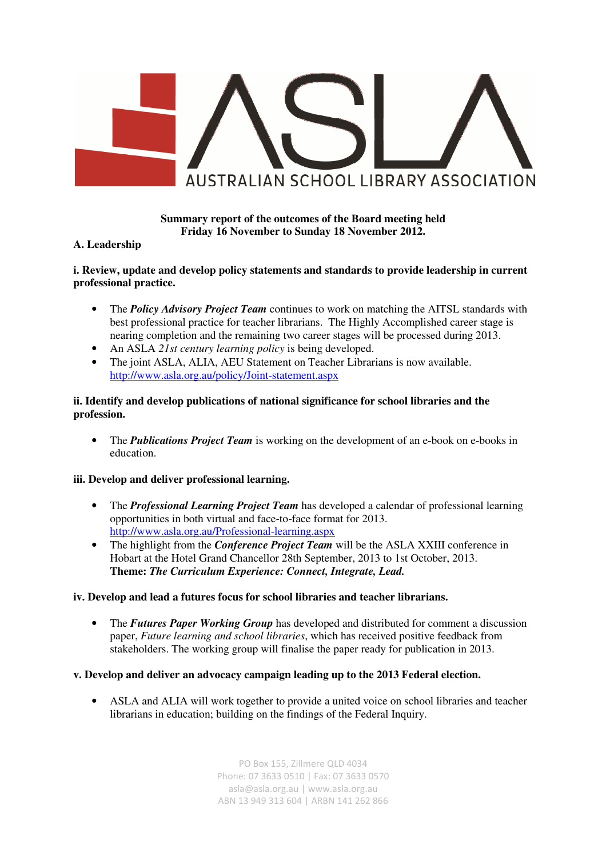

# **Summary report of the outcomes of the Board meeting held Friday 16 November to Sunday 18 November 2012.**

#### **A. Leadership**

#### **i. Review, update and develop policy statements and standards to provide leadership in current professional practice.**

- The *Policy Advisory Project Team* continues to work on matching the AITSL standards with best professional practice for teacher librarians. The Highly Accomplished career stage is nearing completion and the remaining two career stages will be processed during 2013.
- An ASLA *21st century learning policy* is being developed.
- The joint ASLA, ALIA, AEU Statement on Teacher Librarians is now available. http://www.asla.org.au/policy/Joint-statement.aspx

## **ii. Identify and develop publications of national significance for school libraries and the profession.**

• The *Publications Project Team* is working on the development of an e-book on e-books in education.

#### **iii. Develop and deliver professional learning.**

- The *Professional Learning Project Team* has developed a calendar of professional learning opportunities in both virtual and face-to-face format for 2013. http://www.asla.org.au/Professional-learning.aspx
- The highlight from the *Conference Project Team* will be the ASLA XXIII conference in Hobart at the Hotel Grand Chancellor 28th September, 2013 to 1st October, 2013. **Theme:** *The Curriculum Experience: Connect, Integrate, Lead.*

#### **iv. Develop and lead a futures focus for school libraries and teacher librarians.**

• The *Futures Paper Working Group* has developed and distributed for comment a discussion paper, *Future learning and school libraries*, which has received positive feedback from stakeholders. The working group will finalise the paper ready for publication in 2013.

#### **v. Develop and deliver an advocacy campaign leading up to the 2013 Federal election.**

• ASLA and ALIA will work together to provide a united voice on school libraries and teacher librarians in education; building on the findings of the Federal Inquiry.

> PO Box 155, Zillmere QLD 4034 Phone: 07 3633 0510 | Fax: 07 3633 0570 asla@asla.org.au | www.asla.org.au ABN 13 949 313 604 | ARBN 141 262 866